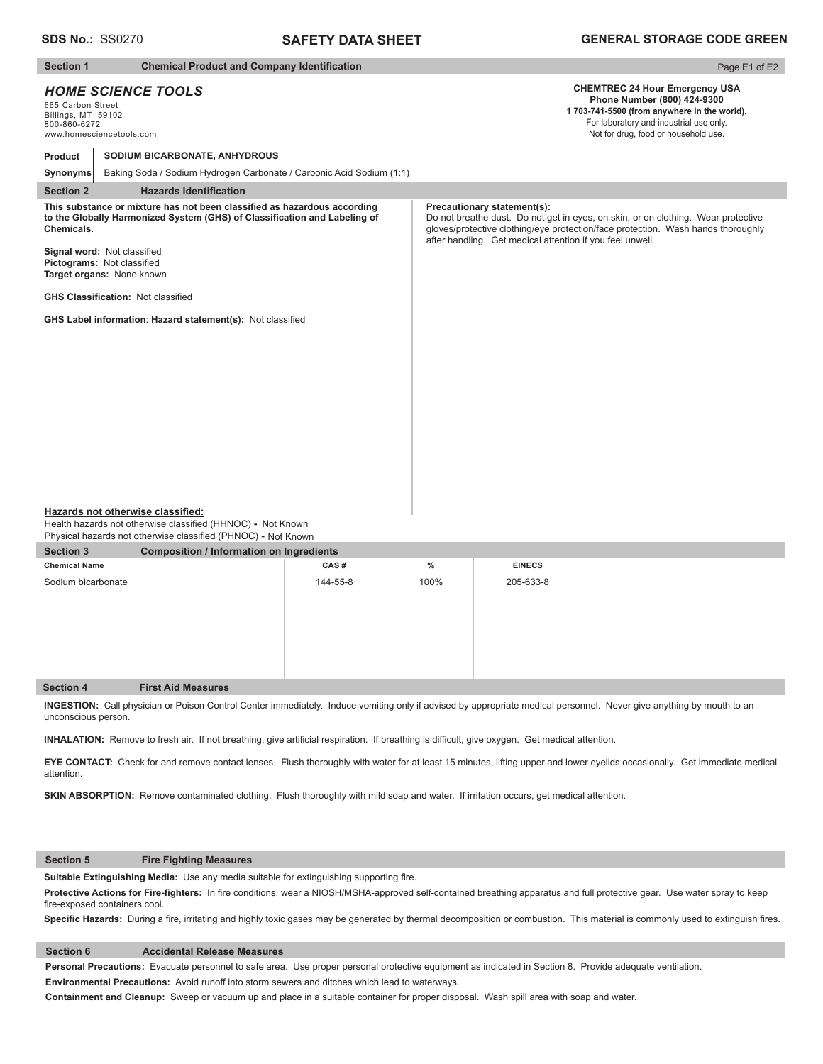## **SAFETY DATA SHEET**

## **Section 1** Chemical Product and Company Identification

## *HOME SCIENCE TOOLS*

665 Carbon Street Billings, MT 59102 800-860-6272 www.homesciencetools.com

# Page E1 of E2

#### **CHEMTREC 24 Hour Emergency USA Phone Number (800) 424-9300 1 703-741-5500 (from anywhere in the world).** For laboratory and industrial use only.

Not for drug, food or household use.

| Product          | <b>SODIUM BICARBONATE, ANHYDROUS</b>                                                                                                                                                                                                                                                                                                                       |                                                                                                                                                                                                                                                                   |  |  |  |
|------------------|------------------------------------------------------------------------------------------------------------------------------------------------------------------------------------------------------------------------------------------------------------------------------------------------------------------------------------------------------------|-------------------------------------------------------------------------------------------------------------------------------------------------------------------------------------------------------------------------------------------------------------------|--|--|--|
| <b>Synonyms</b>  | Baking Soda / Sodium Hydrogen Carbonate / Carbonic Acid Sodium (1:1)                                                                                                                                                                                                                                                                                       |                                                                                                                                                                                                                                                                   |  |  |  |
| <b>Section 2</b> | <b>Hazards Identification</b>                                                                                                                                                                                                                                                                                                                              |                                                                                                                                                                                                                                                                   |  |  |  |
| Chemicals.       | This substance or mixture has not been classified as hazardous according<br>to the Globally Harmonized System (GHS) of Classification and Labeling of<br>Signal word: Not classified<br>Pictograms: Not classified<br>Target organs: None known<br><b>GHS Classification: Not classified</b><br>GHS Label information: Hazard statement(s): Not classified | Precautionary statement(s):<br>Do not breathe dust. Do not get in eyes, on skin, or on clothing. Wear protective<br>gloves/protective clothing/eye protection/face protection. Wash hands thoroughly<br>after handling. Get medical attention if you feel unwell. |  |  |  |
|                  |                                                                                                                                                                                                                                                                                                                                                            |                                                                                                                                                                                                                                                                   |  |  |  |

#### **Hazards not otherwise classified:**

Health hazards not otherwise classified (HHNOC) - Not Known Physical hazards not otherwise classified (PHNOC) **-** Not Known

| <b>Section 3</b>     | <b>Composition / Information on Ingredients</b> |          |      |               |  |
|----------------------|-------------------------------------------------|----------|------|---------------|--|
| <b>Chemical Name</b> |                                                 | CAS#     | %    | <b>EINECS</b> |  |
| Sodium bicarbonate   |                                                 | 144-55-8 | 100% | 205-633-8     |  |
| <b>Section 4</b>     | <b>First Aid Measures</b>                       |          |      |               |  |

**INGESTION:** Call physician or Poison Control Center immediately. Induce vomiting only if advised by appropriate medical personnel.Never give anything by mouth to an unconscious person.

INHALATION: Remove to fresh air. If not breathing, give artificial respiration. If breathing is difficult, give oxygen. Get medical attention.

**EYE CONTACT:** Check for and remove contact lenses. Flush thoroughly with water for at least 15 minutes, lifting upper and lower eyelids occasionally. Get immediate medical attention.

**SKIN ABSORPTION:** Remove contaminated clothing. Flush thoroughly with mild soap and water. If irritation occurs, get medical attention.

## **Section 5 Fire Fighting Measures**

Suitable Extinguishing Media: Use any media suitable for extinguishing supporting fire.

Protective Actions for Fire-fighters: In fire conditions, wear a NIOSH/MSHA-approved self-contained breathing apparatus and full protective gear. Use water spray to keep fire-exposed containers cool.

Specific Hazards: During a fire, irritating and highly toxic gases may be generated by thermal decomposition or combustion. This material is commonly used to extinguish fires.

#### **Section 6 Accidental Release Measures**

**Personal Precautions:** Evacuate personnel to safe area. Use proper personal protective equipment as indicated in Section 8. Provide adequate ventilation.

**Environmental Precautions:** Avoid runoff into storm sewers and ditches which lead to waterways.

**Containment and Cleanup:** Sweep or vacuum up and place in a suitable container for proper disposal. Wash spill area with soap and water.